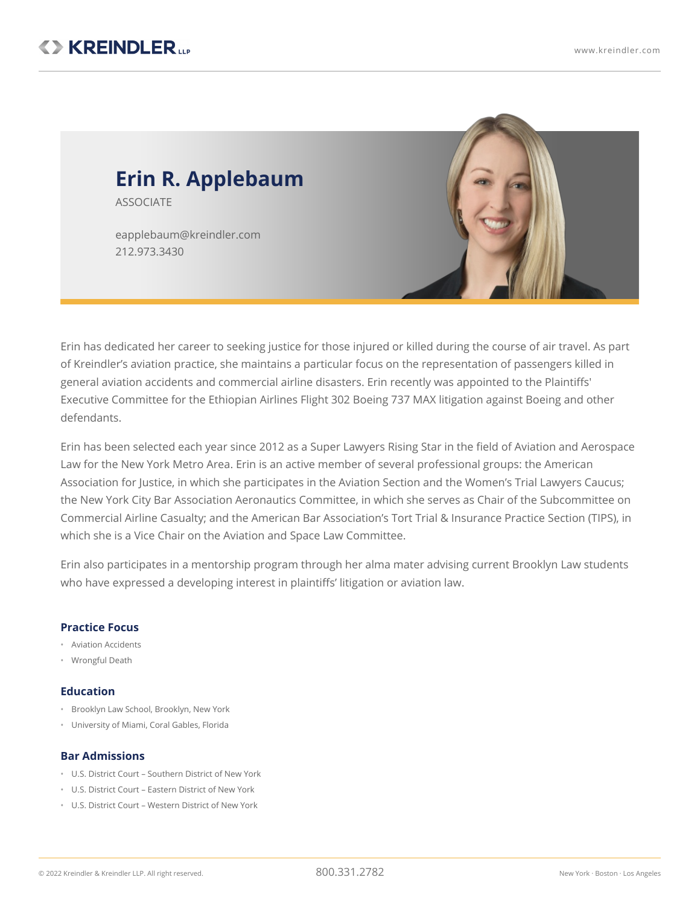

Erin has dedicated her career to seeking justice for those injured or killed during the course of air travel. As part of Kreindler's aviation practice, she maintains a particular focus on the representation of passengers killed in general aviation accidents and commercial airline disasters. Erin recently was appointed to the Plaintiffs' Executive Committee for the Ethiopian Airlines Flight 302 Boeing 737 MAX litigation against Boeing and other defendants.

Erin has been selected each year since 2012 as a Super Lawyers Rising Star in the field of Aviation and Aerospace Law for the New York Metro Area. Erin is an active member of several professional groups: the American Association for Justice, in which she participates in the Aviation Section and the Women's Trial Lawyers Caucus; the New York City Bar Association Aeronautics Committee, in which she serves as Chair of the Subcommittee on Commercial Airline Casualty; and the American Bar Association's Tort Trial & Insurance Practice Section (TIPS), in which she is a Vice Chair on the Aviation and Space Law Committee.

Erin also participates in a mentorship program through her alma mater advising current Brooklyn Law students who have expressed a developing interest in plaintiffs' litigation or aviation law.

## **Practice Focus**

- Aviation Accidents
- Wrongful Death

## **Education**

- Brooklyn Law School, Brooklyn, New York
- University of Miami, Coral Gables, Florida

## **Bar Admissions**

- U.S. District Court Southern District of New York
- U.S. District Court Eastern District of New York
- U.S. District Court Western District of New York